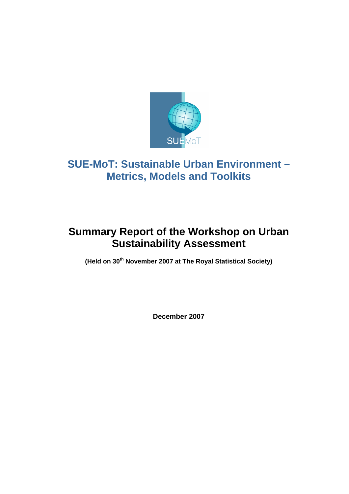

# **SUE-MoT: Sustainable Urban Environment – Metrics, Models and Toolkits**

# **Summary Report of the Workshop on Urban Sustainability Assessment**

**(Held on 30th November 2007 at The Royal Statistical Society)** 

**December 2007**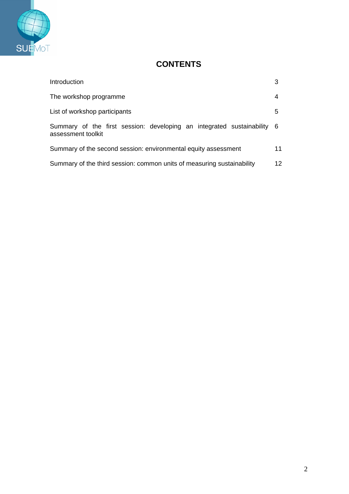

# **CONTENTS**

| Introduction                                                                                  | 3               |
|-----------------------------------------------------------------------------------------------|-----------------|
| The workshop programme                                                                        | 4               |
| List of workshop participants                                                                 | 5               |
| Summary of the first session: developing an integrated sustainability 6<br>assessment toolkit |                 |
| Summary of the second session: environmental equity assessment                                | 11              |
| Summary of the third session: common units of measuring sustainability                        | 12 <sup>2</sup> |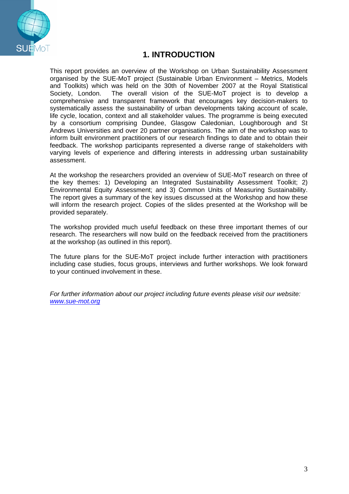

# **1. INTRODUCTION**

This report provides an overview of the Workshop on Urban Sustainability Assessment organised by the SUE-MoT project (Sustainable Urban Environment – Metrics, Models and Toolkits) which was held on the 30th of November 2007 at the Royal Statistical Society, London. The overall vision of the SUE-MoT project is to develop a comprehensive and transparent framework that encourages key decision-makers to systematically assess the sustainability of urban developments taking account of scale, life cycle, location, context and all stakeholder values. The programme is being executed by a consortium comprising Dundee, Glasgow Caledonian, Loughborough and St Andrews Universities and over 20 partner organisations. The aim of the workshop was to inform built environment practitioners of our research findings to date and to obtain their feedback. The workshop participants represented a diverse range of stakeholders with varying levels of experience and differing interests in addressing urban sustainability assessment.

At the workshop the researchers provided an overview of SUE-MoT research on three of the key themes: 1) Developing an Integrated Sustainability Assessment Toolkit; 2) Environmental Equity Assessment; and 3) Common Units of Measuring Sustainability. The report gives a summary of the key issues discussed at the Workshop and how these will inform the research project. Copies of the slides presented at the Workshop will be provided separately.

The workshop provided much useful feedback on these three important themes of our research. The researchers will now build on the feedback received from the practitioners at the workshop (as outlined in this report).

The future plans for the SUE-MoT project include further interaction with practitioners including case studies, focus groups, interviews and further workshops. We look forward to your continued involvement in these.

*For further information about our project including future events please visit our website: www.sue-mot.org*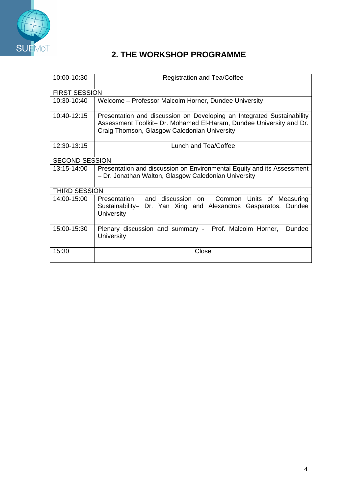

# **2. THE WORKSHOP PROGRAMME**

| 10:00-10:30           | <b>Registration and Tea/Coffee</b>                                                                                                                                                            |  |
|-----------------------|-----------------------------------------------------------------------------------------------------------------------------------------------------------------------------------------------|--|
| <b>FIRST SESSION</b>  |                                                                                                                                                                                               |  |
| $10:30-10:40$         | Welcome – Professor Malcolm Horner, Dundee University                                                                                                                                         |  |
| 10:40-12:15           | Presentation and discussion on Developing an Integrated Sustainability<br>Assessment Toolkit- Dr. Mohamed El-Haram, Dundee University and Dr.<br>Craig Thomson, Glasgow Caledonian University |  |
| 12:30-13:15           | Lunch and Tea/Coffee                                                                                                                                                                          |  |
| <b>SECOND SESSION</b> |                                                                                                                                                                                               |  |
| $13.15 - 14.00$       | Presentation and discussion on Environmental Equity and its Assessment<br>- Dr. Jonathan Walton, Glasgow Caledonian University                                                                |  |
| <b>THIRD SESSION</b>  |                                                                                                                                                                                               |  |
| $14:00 - 15:00$       | Presentation and discussion on<br>Common Units of Measuring<br>Sustainability- Dr. Yan Xing and Alexandros Gasparatos, Dundee<br><b>University</b>                                            |  |
| 15:00-15:30           | Plenary discussion and summary - Prof. Malcolm Horner,<br>Dundee<br>University                                                                                                                |  |
| 15:30                 | Close                                                                                                                                                                                         |  |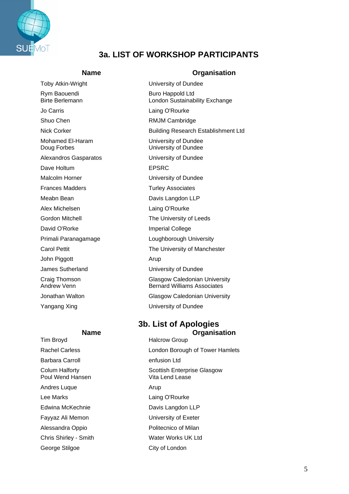

# **3a. LIST OF WORKSHOP PARTICIPANTS**

Rym Baouendi **Buro Happold Ltd**<br>Birte Berlemann Buro Buro London Sustainab Jo Carris Laing O'Rourke Shuo Chen RMJM Cambridge Dave Holtum **EPSRC** Frances Madders **Turley Associates** Meabn Bean **Davis Langdon LLP** Alex Michelsen **Laing O'Rourke** David O'Rorke **Imperial College** John Piggott **Arup** 

Barbara Carroll **Exercise 2** and the enfusion Ltd Poul Wend Hansen **Vita Lend Lease** Andres Luque **Arup** Arup Lee Marks **Laing O'Rourke** Edwina McKechnie Davis Langdon LLP Fayyaz Ali Memon **Exeter** University of Exeter Alessandra Oppio **Politecnico** of Milan

#### **Name Organisation**

Toby Atkin-Wright Toby Atkin-Wright Change University of Dundee London Sustainability Exchange Nick Corker **Building Research Establishment Ltd** Mohamed El-Haram University of Dundee Doug Forbes University of Dundee Alexandros Gasparatos University of Dundee Malcolm Horner **National Execution** University of Dundee Gordon Mitchell **The University of Leeds** Primali Paranagamage **Loughborough University** Carol Pettit **The University of Manchester** James Sutherland University of Dundee Craig Thomson Glasgow Caledonian University<br>
Andrew Venn Glasgow Caledonian University<br>
Bernard Williams Associates **Bernard Williams Associates** Jonathan Walton Glasgow Caledonian University Yangang Xing The Contract Contract University of Dundee

#### **3b. List of Apologies Name Organisation**

Tim Broyd **Halcrow Group** Rachel Carless **London Borough of Tower Hamlets** Colum Halforty **Scottish Enterprise Glasgow** Chris Shirley - Smith Water Works UK Ltd George Stilgoe City of London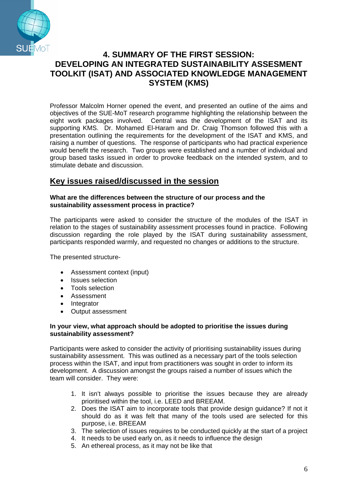

# **4. SUMMARY OF THE FIRST SESSION: DEVELOPING AN INTEGRATED SUSTAINABILITY ASSESMENT TOOLKIT (ISAT) AND ASSOCIATED KNOWLEDGE MANAGEMENT SYSTEM (KMS)**

Professor Malcolm Horner opened the event, and presented an outline of the aims and objectives of the SUE-MoT research programme highlighting the relationship between the eight work packages involved. Central was the development of the ISAT and its supporting KMS. Dr. Mohamed El-Haram and Dr. Craig Thomson followed this with a presentation outlining the requirements for the development of the ISAT and KMS, and raising a number of questions. The response of participants who had practical experience would benefit the research. Two groups were established and a number of individual and group based tasks issued in order to provoke feedback on the intended system, and to stimulate debate and discussion.

## **Key issues raised/discussed in the session**

#### **What are the differences between the structure of our process and the sustainability assessment process in practice?**

The participants were asked to consider the structure of the modules of the ISAT in relation to the stages of sustainability assessment processes found in practice. Following discussion regarding the role played by the ISAT during sustainability assessment, participants responded warmly, and requested no changes or additions to the structure.

The presented structure-

- Assessment context (input)
- Issues selection
- Tools selection
- Assessment
- Integrator
- Output assessment

#### **In your view, what approach should be adopted to prioritise the issues during sustainability assessment?**

Participants were asked to consider the activity of prioritising sustainability issues during sustainability assessment. This was outlined as a necessary part of the tools selection process within the ISAT, and input from practitioners was sought in order to inform its development. A discussion amongst the groups raised a number of issues which the team will consider. They were:

- 1. It isn't always possible to prioritise the issues because they are already prioritised within the tool, i.e. LEED and BREEAM.
- 2. Does the ISAT aim to incorporate tools that provide design guidance? If not it should do as it was felt that many of the tools used are selected for this purpose, i.e. BREEAM
- 3. The selection of issues requires to be conducted quickly at the start of a project
- 4. It needs to be used early on, as it needs to influence the design
- 5. An ethereal process, as it may not be like that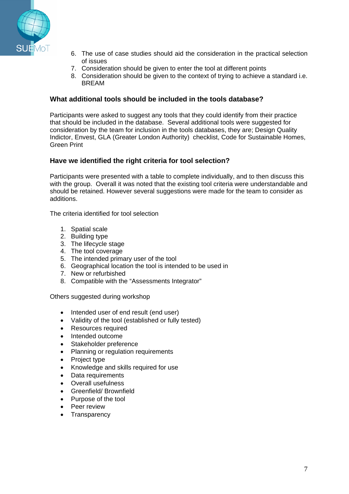

- 6. The use of case studies should aid the consideration in the practical selection of issues
- 7. Consideration should be given to enter the tool at different points
- 8. Consideration should be given to the context of trying to achieve a standard i.e. BREAM

#### **What additional tools should be included in the tools database?**

Participants were asked to suggest any tools that they could identify from their practice that should be included in the database. Several additional tools were suggested for consideration by the team for inclusion in the tools databases, they are; Design Quality Indictor, Envest, GLA (Greater London Authority) checklist, Code for Sustainable Homes, Green Print

#### **Have we identified the right criteria for tool selection?**

Participants were presented with a table to complete individually, and to then discuss this with the group. Overall it was noted that the existing tool criteria were understandable and should be retained. However several suggestions were made for the team to consider as additions.

The criteria identified for tool selection

- 1. Spatial scale
- 2. Building type
- 3. The lifecycle stage
- 4. The tool coverage
- 5. The intended primary user of the tool
- 6. Geographical location the tool is intended to be used in
- 7. New or refurbished
- 8. Compatible with the "Assessments Integrator"

Others suggested during workshop

- Intended user of end result (end user)
- Validity of the tool (established or fully tested)
- Resources required
- Intended outcome
- Stakeholder preference
- Planning or regulation requirements
- Project type
- Knowledge and skills required for use
- Data requirements
- Overall usefulness
- Greenfield/ Brownfield
- Purpose of the tool
- Peer review
- Transparency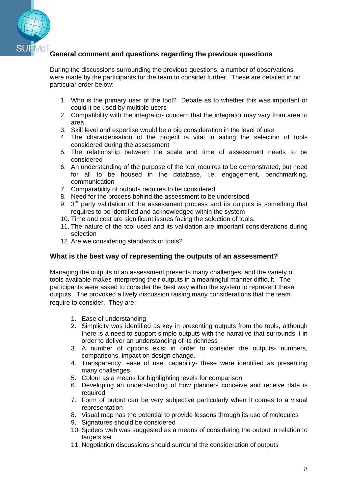

### **General comment and questions regarding the previous questions**

During the discussions surrounding the previous questions, a number of observations were made by the participants for the team to consider further. These are detailed in no particular order below:

- 1. Who is the primary user of the tool? Debate as to whether this was important or could it be used by multiple users
- 2. Compatibility with the integrator- concern that the integrator may vary from area to area
- 3. Skill level and expertise would be a big consideration in the level of use
- 4. The characterisation of the project is vital in aiding the selection of tools considered during the assessment
- 5. The relationship between the scale and time of assessment needs to be considered
- 6. An understanding of the purpose of the tool requires to be demonstrated, but need for all to be housed in the database, i.e. engagement, benchmarking, communication
- 7. Comparability of outputs requires to be considered
- 8. Need for the process behind the assessment to be understood
- 9.  $3<sup>rd</sup>$  party validation of the assessment process and its outputs is something that requires to be identified and acknowledged within the system
- 10. Time and cost are significant issues facing the selection of tools.
- 11. The nature of the tool used and its validation are important considerations during selection
- 12. Are we considering standards or tools?

#### **What is the best way of representing the outputs of an assessment?**

Managing the outputs of an assessment presents many challenges, and the variety of tools available makes interpreting their outputs in a meaningful manner difficult. The participants were asked to consider the best way within the system to represent these outputs. The provoked a lively discussion raising many considerations that the team require to consider. They are:

- 1. Ease of understanding
- 2. Simplicity was identified as key in presenting outputs from the tools, although there is a need to support simple outputs with the narrative that surrounds it in order to deliver an understanding of its richness
- 3. A number of options exist in order to consider the outputs- numbers, comparisons, impact on design change.
- 4. Transparency, ease of use, capability- these were identified as presenting many challenges
- 5. Colour as a means for highlighting levels for comparison
- 6. Developing an understanding of how planners conceive and receive data is required
- 7. Form of output can be very subjective particularly when it comes to a visual representation
- 8. Visual map has the potential to provide lessons through its use of molecules
- 9. Signatures should be considered
- 10. Spiders web was suggested as a means of considering the output in relation to targets set
- 11. Negotiation discussions should surround the consideration of outputs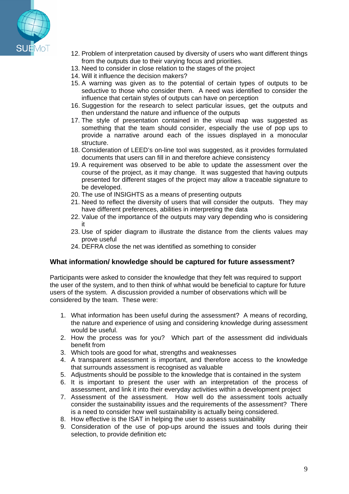

- 12. Problem of interpretation caused by diversity of users who want different things from the outputs due to their varying focus and priorities.
- 13. Need to consider in close relation to the stages of the project
- 14. Will it influence the decision makers?
- 15. A warning was given as to the potential of certain types of outputs to be seductive to those who consider them. A need was identified to consider the influence that certain styles of outputs can have on perception
- 16. Suggestion for the research to select particular issues, get the outputs and then understand the nature and influence of the outputs
- 17. The style of presentation contained in the visual map was suggested as something that the team should consider, especially the use of pop ups to provide a narrative around each of the issues displayed in a monocular structure.
- 18. Consideration of LEED's on-line tool was suggested, as it provides formulated documents that users can fill in and therefore achieve consistency
- 19. A requirement was observed to be able to update the assessment over the course of the project, as it may change. It was suggested that having outputs presented for different stages of the project may allow a traceable signature to be developed.
- 20. The use of INSIGHTS as a means of presenting outputs
- 21. Need to reflect the diversity of users that will consider the outputs. They may have different preferences, abilities in interpreting the data
- 22. Value of the importance of the outputs may vary depending who is considering it
- 23. Use of spider diagram to illustrate the distance from the clients values may prove useful
- 24. DEFRA close the net was identified as something to consider

#### **What information/ knowledge should be captured for future assessment?**

Participants were asked to consider the knowledge that they felt was required to support the user of the system, and to then think of whhat would be beneficial to capture for future users of the system. A discussion provided a number of observations which will be considered by the team. These were:

- 1. What information has been useful during the assessment? A means of recording, the nature and experience of using and considering knowledge during assessment would be useful.
- 2. How the process was for you? Which part of the assessment did individuals benefit from
- 3. Which tools are good for what, strengths and weaknesses
- 4. A transparent assessment is important, and therefore access to the knowledge that surrounds assessment is recognised as valuable
- 5. Adjustments should be possible to the knowledge that is contained in the system
- 6. It is important to present the user with an interpretation of the process of assessment, and link it into their everyday activities within a development project
- 7. Assessment of the assessment. How well do the assessment tools actually consider the sustainability issues and the requirements of the assessment? There is a need to consider how well sustainability is actually being considered.
- 8. How effective is the ISAT in helping the user to assess sustainability
- 9. Consideration of the use of pop-ups around the issues and tools during their selection, to provide definition etc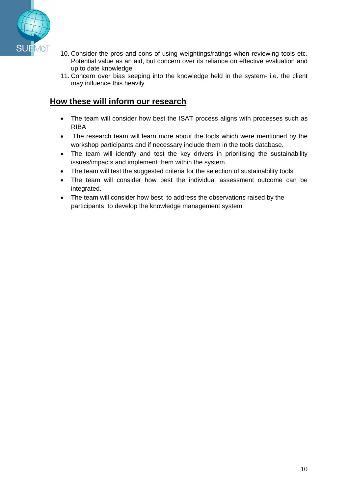

- 10. Consider the pros and cons of using weightings/ratings when reviewing tools etc. Potential value as an aid, but concern over its reliance on effective evaluation and up to date knowledge
- 11. Concern over bias seeping into the knowledge held in the system- i.e. the client may influence this heavily

## **How these will inform our research**

- The team will consider how best the ISAT process aligns with processes such as RIBA
- The research team will learn more about the tools which were mentioned by the workshop participants and if necessary include them in the tools database.
- The team will identify and test the key drivers in prioritising the sustainability issues/impacts and implement them within the system.
- The team will test the suggested criteria for the selection of sustainability tools.
- The team will consider how best the individual assessment outcome can be integrated.
- The team will consider how best to address the observations raised by the participants to develop the knowledge management system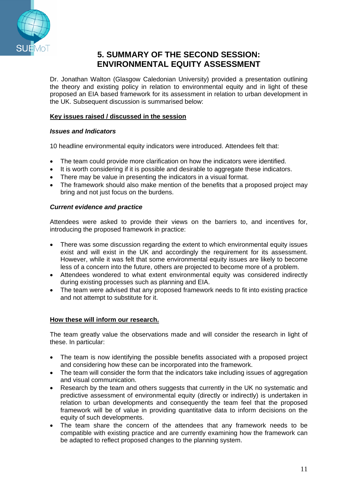

# **5. SUMMARY OF THE SECOND SESSION: ENVIRONMENTAL EQUITY ASSESSMENT**

Dr. Jonathan Walton (Glasgow Caledonian University) provided a presentation outlining the theory and existing policy in relation to environmental equity and in light of these proposed an EIA based framework for its assessment in relation to urban development in the UK. Subsequent discussion is summarised below:

#### **Key issues raised / discussed in the session**

#### *Issues and Indicators*

10 headline environmental equity indicators were introduced. Attendees felt that:

- The team could provide more clarification on how the indicators were identified.
- It is worth considering if it is possible and desirable to aggregate these indicators.
- There may be value in presenting the indicators in a visual format.
- The framework should also make mention of the benefits that a proposed project may bring and not just focus on the burdens.

#### *Current evidence and practice*

Attendees were asked to provide their views on the barriers to, and incentives for, introducing the proposed framework in practice:

- There was some discussion regarding the extent to which environmental equity issues exist and will exist in the UK and accordingly the requirement for its assessment. However, while it was felt that some environmental equity issues are likely to become less of a concern into the future, others are projected to become more of a problem.
- Attendees wondered to what extent environmental equity was considered indirectly during existing processes such as planning and EIA.
- The team were advised that any proposed framework needs to fit into existing practice and not attempt to substitute for it.

#### **How these will inform our research.**

The team greatly value the observations made and will consider the research in light of these. In particular:

- The team is now identifying the possible benefits associated with a proposed project and considering how these can be incorporated into the framework.
- The team will consider the form that the indicators take including issues of aggregation and visual communication.
- Research by the team and others suggests that currently in the UK no systematic and predictive assessment of environmental equity (directly or indirectly) is undertaken in relation to urban developments and consequently the team feel that the proposed framework will be of value in providing quantitative data to inform decisions on the equity of such developments.
- The team share the concern of the attendees that any framework needs to be compatible with existing practice and are currently examining how the framework can be adapted to reflect proposed changes to the planning system.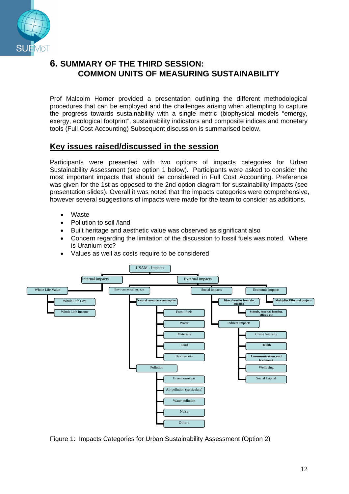

# **6. SUMMARY OF THE THIRD SESSION: COMMON UNITS OF MEASURING SUSTAINABILITY**

Prof Malcolm Horner provided a presentation outlining the different methodological procedures that can be employed and the challenges arising when attempting to capture the progress towards sustainability with a single metric (biophysical models "emergy, exergy, ecological footprint", sustainability indicators and composite indices and monetary tools (Full Cost Accounting) Subsequent discussion is summarised below.

## **Key issues raised/discussed in the session**

Participants were presented with two options of impacts categories for Urban Sustainability Assessment (see option 1 below). Participants were asked to consider the most important impacts that should be considered in Full Cost Accounting. Preference was given for the 1st as opposed to the 2nd option diagram for sustainability impacts (see presentation slides). Overall it was noted that the impacts categories were comprehensive, however several suggestions of impacts were made for the team to consider as additions.

- Waste
- Pollution to soil /land
- Built heritage and aesthetic value was observed as significant also
- Concern regarding the limitation of the discussion to fossil fuels was noted. Where is Uranium etc?
- Values as well as costs require to be considered



Figure 1: Impacts Categories for Urban Sustainability Assessment (Option 2)